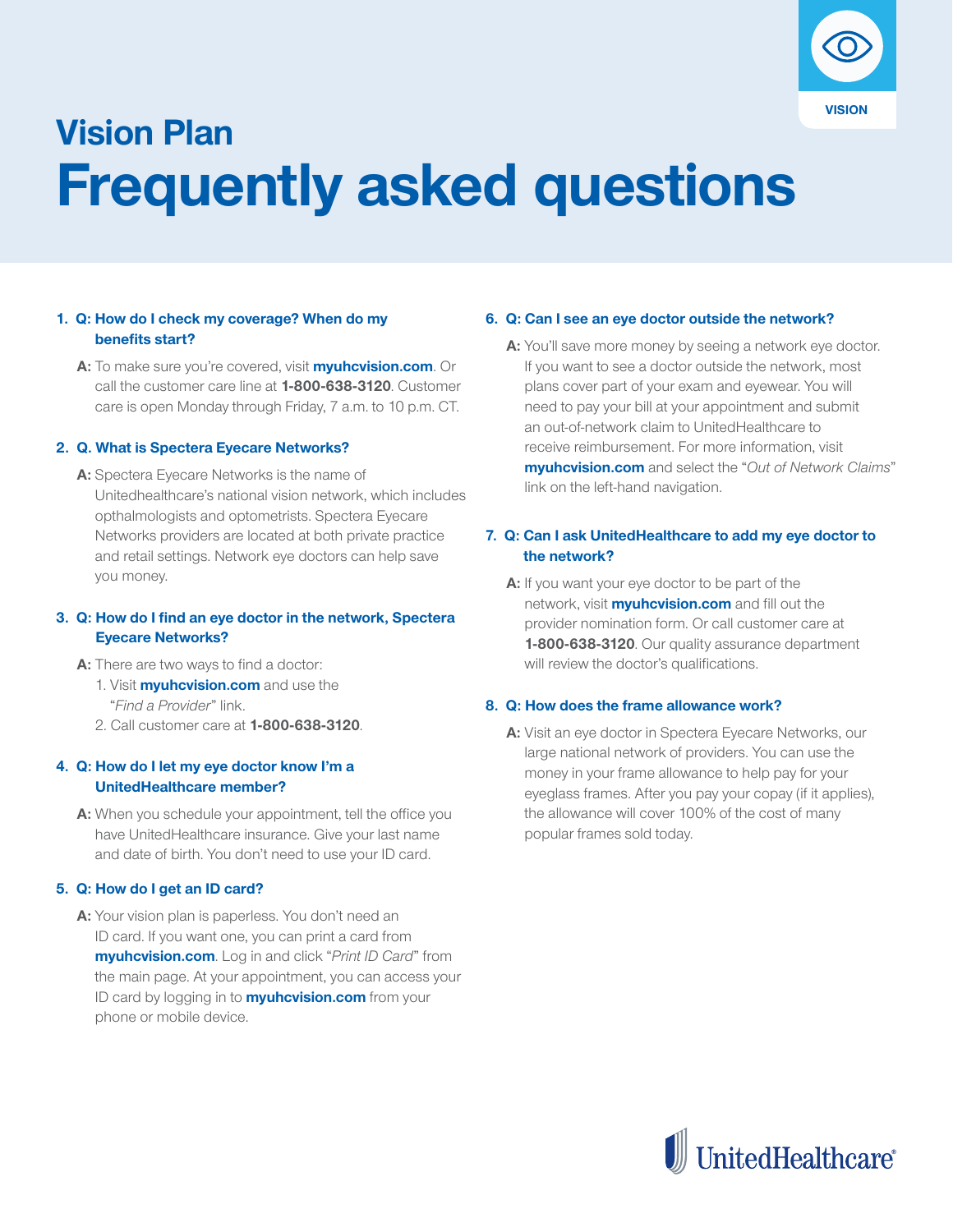

# **Vision Plan Frequently asked questions**

#### **1. Q: How do I check my coverage? When do my benefits start?**

 **A:** To make sure you're covered, visit **myuhcvision.com**. Or call the customer care line at **1-800-638-3120**. Customer care is open Monday through Friday, 7 a.m. to 10 p.m. CT.

#### **2. Q. What is Spectera Eyecare Networks?**

 **A:** Spectera Eyecare Networks is the name of Unitedhealthcare's national vision network, which includes opthalmologists and optometrists. Spectera Eyecare Networks providers are located at both private practice and retail settings. Network eye doctors can help save you money.

#### **3. Q: How do I find an eye doctor in the network, Spectera Eyecare Networks?**

- A: There are two ways to find a doctor:
	- 1. Visit **myuhcvision.com** and use the "*Find a Provider*" link.
	- 2. Call customer care at **1-800-638-3120**.

#### **4. Q: How do I let my eye doctor know I'm a UnitedHealthcare member?**

 **A:** When you schedule your appointment, tell the office you have UnitedHealthcare insurance. Give your last name and date of birth. You don't need to use your ID card.

#### **5. Q: How do I get an ID card?**

 **A:** Your vision plan is paperless. You don't need an ID card. If you want one, you can print a card from **myuhcvision.com**. Log in and click "*Print ID Card*" from the main page. At your appointment, you can access your ID card by logging in to **myuhcvision.com** from your phone or mobile device.

#### **6. Q: Can I see an eye doctor outside the network?**

 **A:** You'll save more money by seeing a network eye doctor. If you want to see a doctor outside the network, most plans cover part of your exam and eyewear. You will need to pay your bill at your appointment and submit an out-of-network claim to UnitedHealthcare to receive reimbursement. For more information, visit **myuhcvision.com** and select the "*Out of Network Claims*" link on the left-hand navigation.

#### **7. Q: Can I ask UnitedHealthcare to add my eye doctor to the network?**

 **A:** If you want your eye doctor to be part of the network, visit **myuhcvision.com** and fill out the provider nomination form. Or call customer care at **1-800-638-3120**. Our quality assurance department will review the doctor's qualifications.

#### **8. Q: How does the frame allowance work?**

 **A:** Visit an eye doctor in Spectera Eyecare Networks, our large national network of providers. You can use the money in your frame allowance to help pay for your eyeglass frames. After you pay your copay (if it applies), the allowance will cover 100% of the cost of many popular frames sold today.

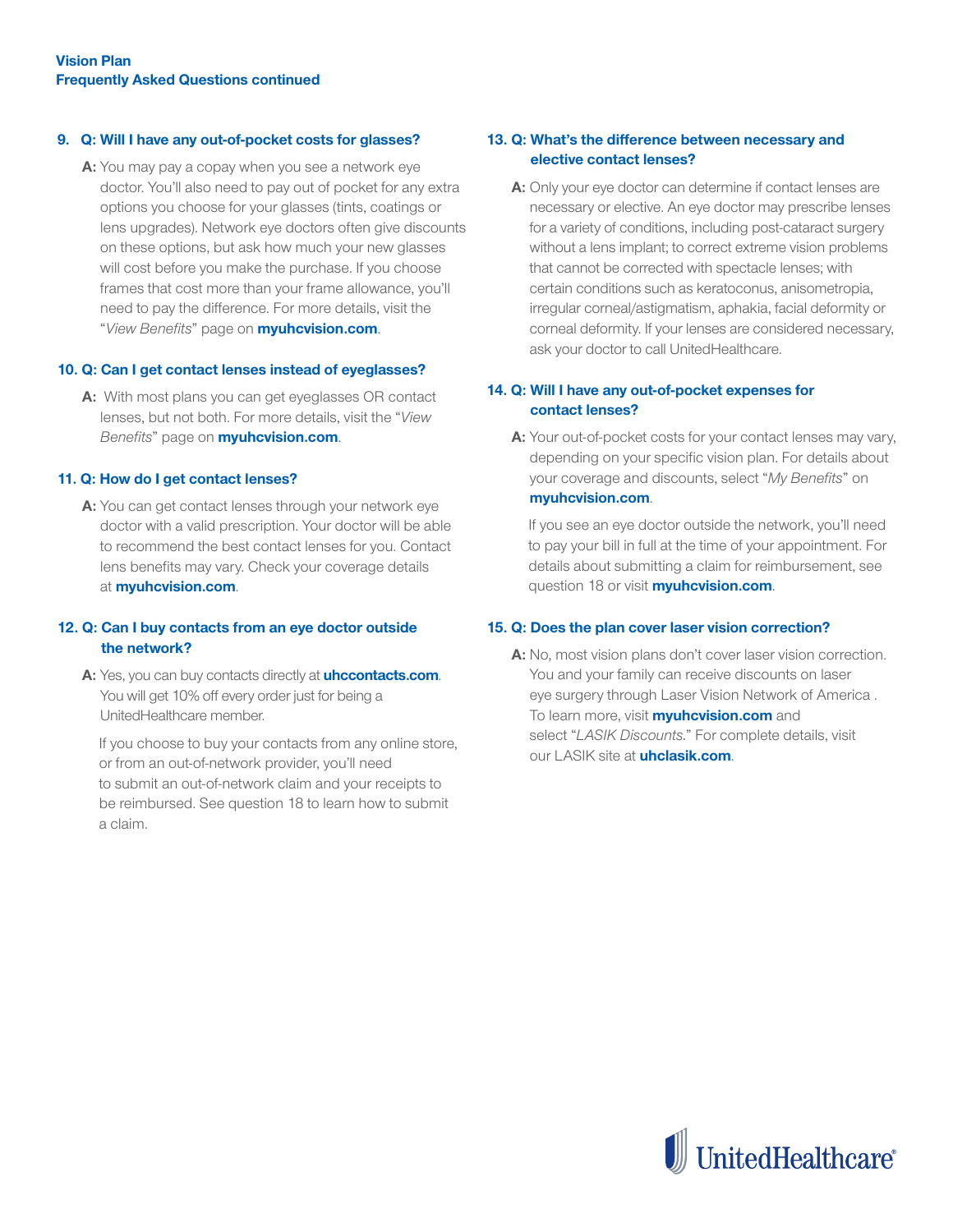#### **9. Q: Will I have any out-of-pocket costs for glasses?**

**A:** You may pay a copay when you see a network eye doctor. You'll also need to pay out of pocket for any extra options you choose for your glasses (tints, coatings or lens upgrades). Network eye doctors often give discounts on these options, but ask how much your new glasses will cost before you make the purchase. If you choose frames that cost more than your frame allowance, you'll need to pay the difference. For more details, visit the "*View Benefits*" page on **myuhcvision.com**.

#### **10. Q: Can I get contact lenses instead of eyeglasses?**

**A:** With most plans you can get eyeglasses OR contact lenses, but not both. For more details, visit the "*View Benefits*" page on **myuhcvision.com**.

#### **11. Q: How do I get contact lenses?**

**A:** You can get contact lenses through your network eye doctor with a valid prescription. Your doctor will be able to recommend the best contact lenses for you. Contact lens benefits may vary. Check your coverage details at **myuhcvision.com**.

#### **12. Q: Can I buy contacts from an eye doctor outside the network?**

**A:** Yes, you can buy contacts directly at **uhccontacts.com**. You will get 10% off every order just for being a UnitedHealthcare member.

If you choose to buy your contacts from any online store, or from an out-of-network provider, you'll need to submit an out-of-network claim and your receipts to be reimbursed. See question 18 to learn how to submit a claim.

#### **13. Q: What's the difference between necessary and elective contact lenses?**

**A:** Only your eye doctor can determine if contact lenses are necessary or elective. An eye doctor may prescribe lenses for a variety of conditions, including post-cataract surgery without a lens implant; to correct extreme vision problems that cannot be corrected with spectacle lenses; with certain conditions such as keratoconus, anisometropia, irregular corneal/astigmatism, aphakia, facial deformity or corneal deformity. If your lenses are considered necessary, ask your doctor to call UnitedHealthcare.

#### **14. Q: Will I have any out-of-pocket expenses for contact lenses?**

**A:** Your out-of-pocket costs for your contact lenses may vary, depending on your specific vision plan. For details about your coverage and discounts, select "*My Benefits*" on **myuhcvision.com**.

If you see an eye doctor outside the network, you'll need to pay your bill in full at the time of your appointment. For details about submitting a claim for reimbursement, see question 18 or visit **myuhcvision.com**.

#### **15. Q: Does the plan cover laser vision correction?**

**A:** No, most vision plans don't cover laser vision correction. You and your family can receive discounts on laser eye surgery through Laser Vision Network of America . To learn more, visit **myuhcvision.com** and select "*LASIK Discounts.*" For complete details, visit our LASIK site at **uhclasik.com**.

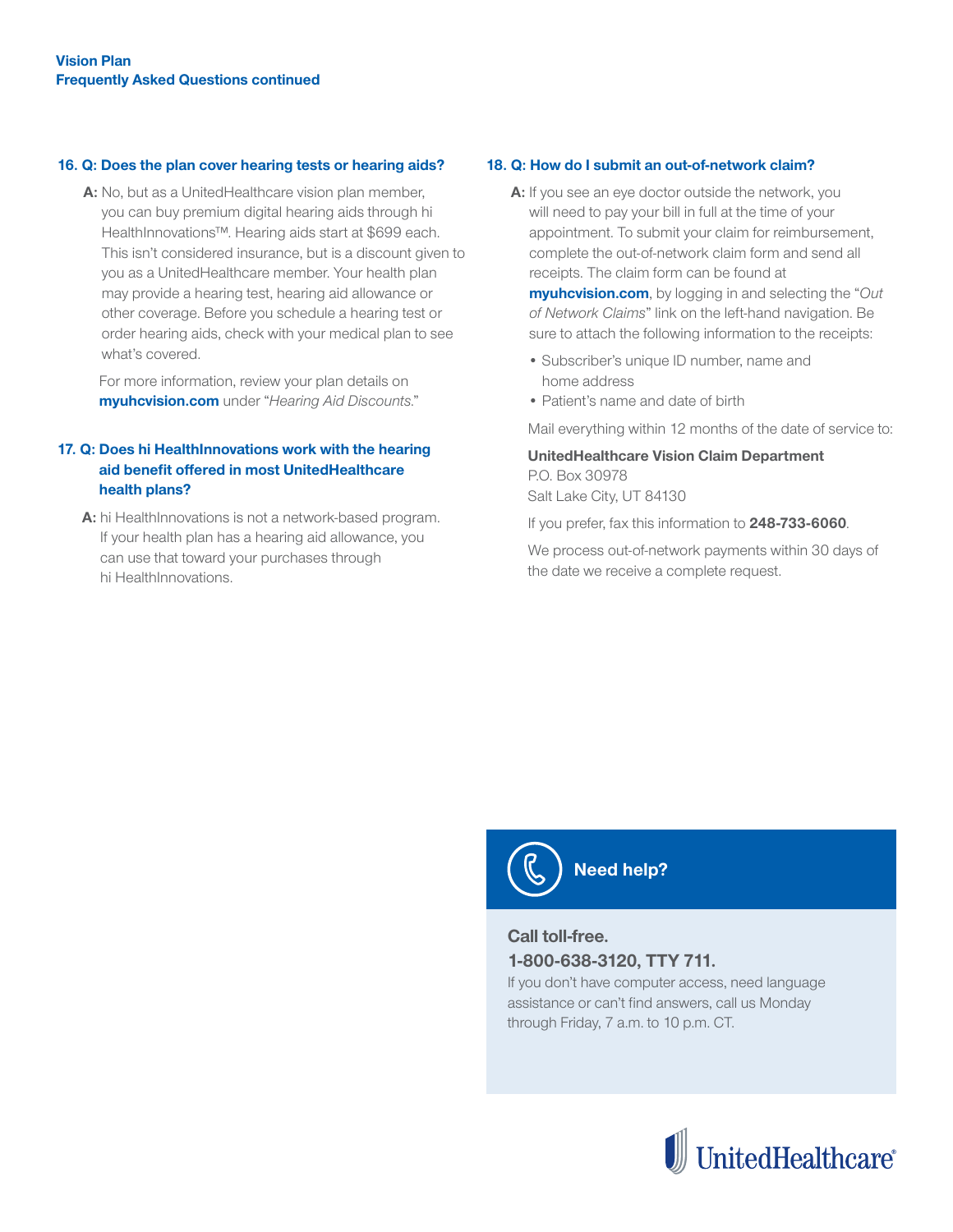#### **16. Q: Does the plan cover hearing tests or hearing aids?**

 **A:** No, but as a UnitedHealthcare vision plan member, you can buy premium digital hearing aids through hi HealthInnovations™. Hearing aids start at \$699 each. This isn't considered insurance, but is a discount given to you as a UnitedHealthcare member. Your health plan may provide a hearing test, hearing aid allowance or other coverage. Before you schedule a hearing test or order hearing aids, check with your medical plan to see what's covered.

For more information, review your plan details on **myuhcvision.com** under "*Hearing Aid Discounts*."

#### **17. Q: Does hi HealthInnovations work with the hearing aid benefit offered in most UnitedHealthcare health plans?**

A: hi HealthInnovations is not a network-based program. If your health plan has a hearing aid allowance, you can use that toward your purchases through hi HealthInnovations.

#### **18. Q: How do I submit an out-of-network claim?**

**A:** If you see an eye doctor outside the network, you will need to pay your bill in full at the time of your appointment. To submit your claim for reimbursement, complete the out-of-network claim form and send all receipts. The claim form can be found at

**myuhcvision.com**, by logging in and selecting the "*Out of Network Claims*" link on the left-hand navigation. Be sure to attach the following information to the receipts:

- Subscriber's unique ID number, name and home address
- Patient's name and date of birth

Mail everything within 12 months of the date of service to:

#### **UnitedHealthcare Vision Claim Department** P.O. Box 30978 Salt Lake City, UT 84130

If you prefer, fax this information to **248-733-6060**.

We process out-of-network payments within 30 days of the date we receive a complete request.



## **Need help?**

### **Call toll-free. 1-800-638-3120, TTY 711.**

If you don't have computer access, need language assistance or can't find answers, call us Monday through Friday, 7 a.m. to 10 p.m. CT.